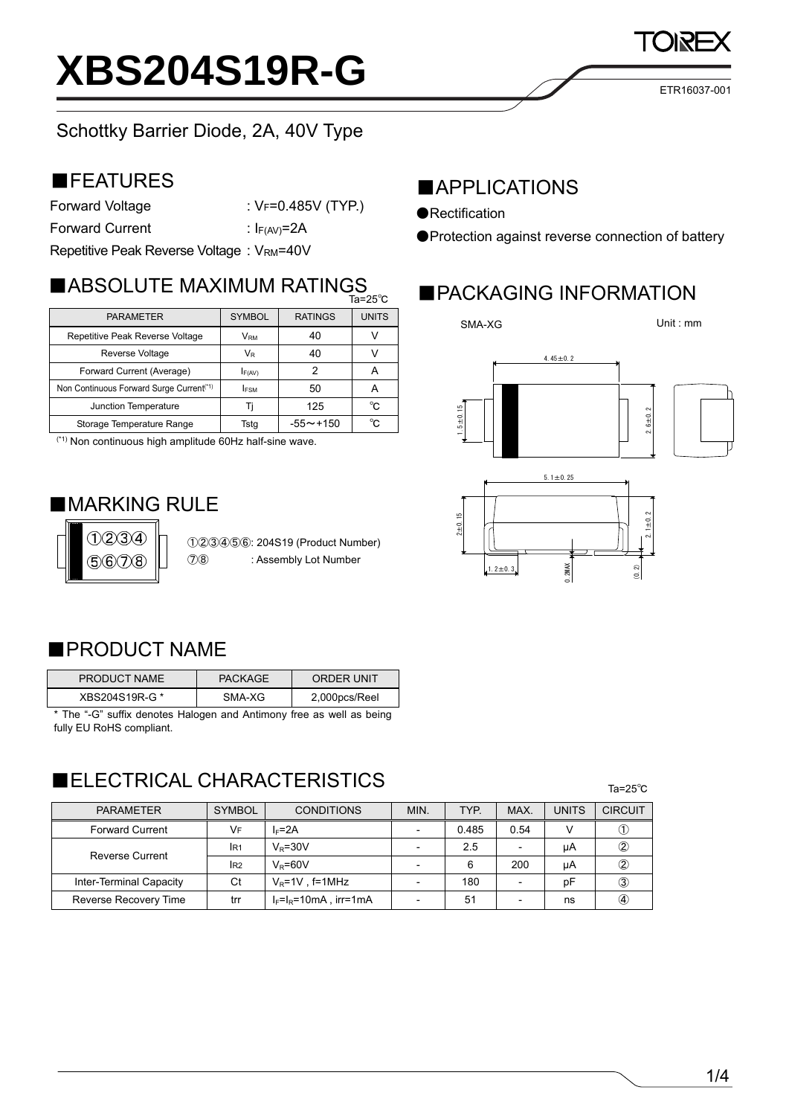ETR16037-001

### Schottky Barrier Diode, 2A, 40V Type

### ■FEATURES

Forward Voltage : VF=0.485V (TYP.)

Forward Current : I<sub>F(AV)</sub>=2A

Repetitive Peak Reverse Voltage : VRM=40V

|                                                      | ∪ ن∠−دı          |                 |              |
|------------------------------------------------------|------------------|-----------------|--------------|
| <b>PARAMETER</b>                                     | <b>SYMBOL</b>    | <b>RATINGS</b>  | <b>UNITS</b> |
| Repetitive Peak Reverse Voltage                      | V <sub>RM</sub>  | 40              |              |
| Reverse Voltage                                      | $V_{\mathsf{R}}$ | 40              |              |
| Forward Current (Average)                            | F(AV)            |                 | A            |
| Non Continuous Forward Surge Current <sup>(*1)</sup> | <b>IFSM</b>      | 50              | A            |
| Junction Temperature                                 |                  | 125             | °C           |
| Storage Temperature Range                            | Tsta             | $-55 \sim +150$ | $^{\circ}$ C |

(\*1) Non continuous high amplitude 60Hz half-sine wave.

### ■**MARKING RULE**



①②③④⑤⑥: 204S19 (Product Number) ⑦⑧ : Assembly Lot Number

### ■APPLICATIONS

- ●Rectification
- ●Protection against reverse connection of battery

## ■ ABSOLUTE MAXIMUM RATINGS ■ PACKAGING INFORMATION

SMA-XG







### ■PRODUCT NAME

| PRODUCT NAME   | <b>PACKAGE</b> | ORDER UNIT    |
|----------------|----------------|---------------|
| XBS204S19R-G * | SMA-XG         | 2,000pcs/Reel |

\* The "-G" suffix denotes Halogen and Antimony free as well as being fully EU RoHS compliant.

### **ELECTRICAL CHARACTERISTICS**

|--|

| <b>PARAMETER</b>        | <b>SYMBOL</b>   | <b>CONDITIONS</b>            | MIN. | TYP.  | MAX.                     | <b>UNITS</b> | <b>CIRCUIT</b> |
|-------------------------|-----------------|------------------------------|------|-------|--------------------------|--------------|----------------|
| <b>Forward Current</b>  | VF              | $I_F = 2A$                   |      | 0.485 | 0.54                     |              |                |
| <b>Reverse Current</b>  | IR <sub>1</sub> | $V_R = 30V$                  |      | 2.5   | $\overline{\phantom{a}}$ | μA           | 2              |
|                         | IR <sub>2</sub> | $V_P = 60V$                  |      | 6     | 200                      | uA           |                |
| Inter-Terminal Capacity | Ct              | $V_R$ =1V, f=1MHz            |      | 180   | $\overline{\phantom{a}}$ | рF           | ③              |
| Reverse Recovery Time   | trr             | $I_F = I_R = 10mA$ , irr=1mA |      | 51    | $\overline{\phantom{0}}$ | ns           | A,             |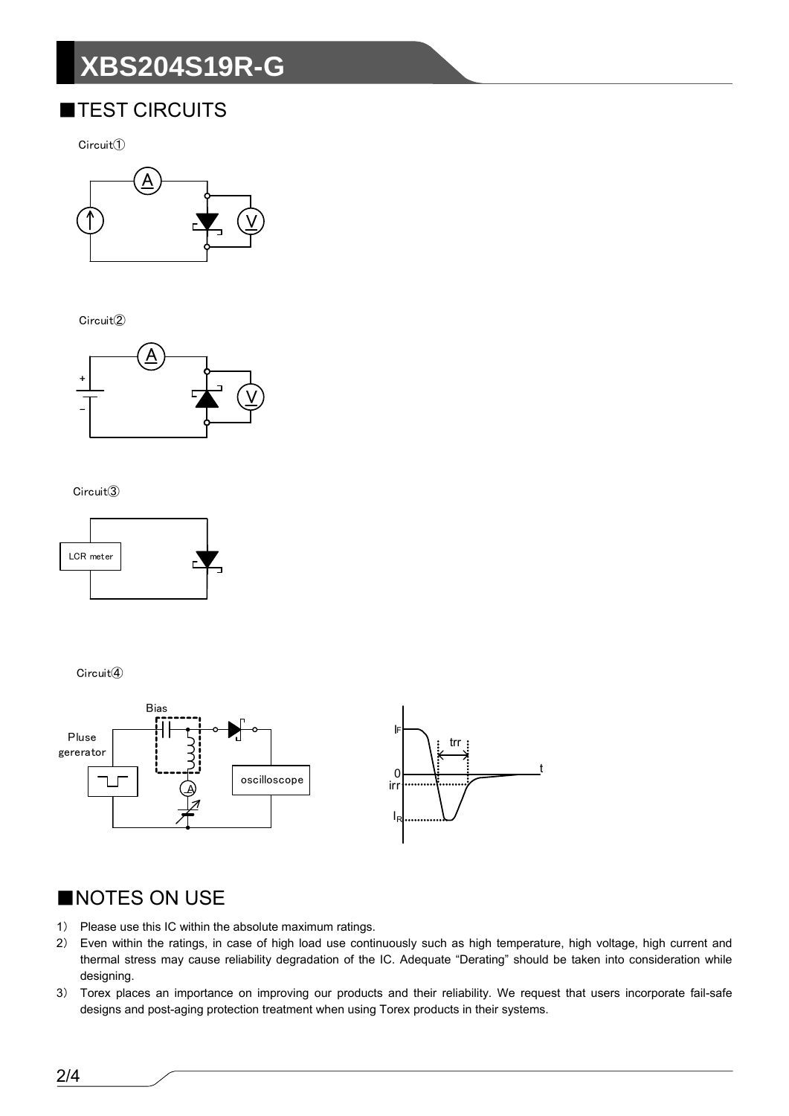# **XBS204S19R-G**

### **TEST CIRCUITS**

 $Circuit()$ 



Circuit<sup>(2)</sup>



#### Circuit<sup>3</sup>



Circuit<sup>(4)</sup>



### NOTES ON USE

- 1) Please use this IC within the absolute maximum ratings.
- $2)$ Even within the ratings, in case of high load use continuously such as high temperature, high voltage, high current and thermal stress may cause reliability degradation of the IC. Adequate "Derating" should be taken into consideration while designing.
- 3) Torex places an importance on improving our products and their reliability. We request that users incorporate fail-safe designs and post-aging protection treatment when using Torex products in their systems.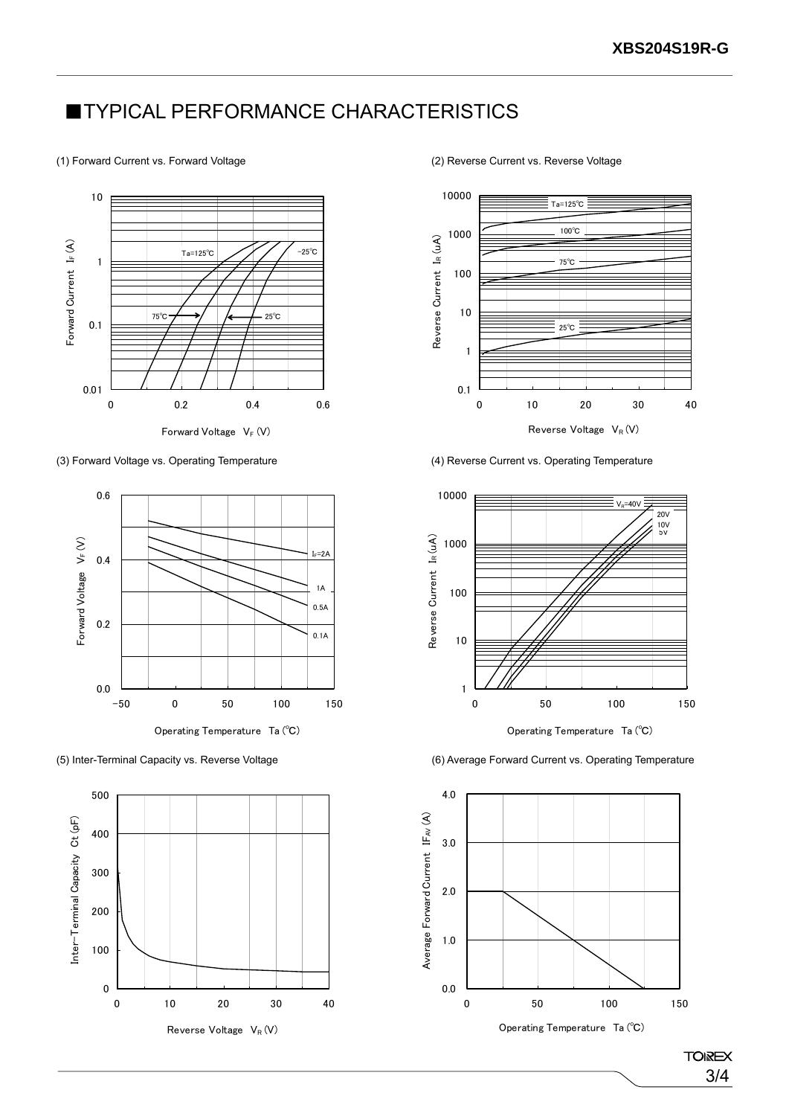### **TYPICAL PERFORMANCE CHARACTERISTICS**

#### (1) Forward Current vs. Forward Voltage (2) Reverse Current vs. Reverse Voltage



(3) Forward Voltage vs. Operating Temperature (4) Reverse Current vs. Operating Temperature









Operating Temperature Ta (℃)

(5) Inter-Terminal Capacity vs. Reverse Voltage (6) Average Forward Current vs. Operating Temperature



**TOIREX** 3/4